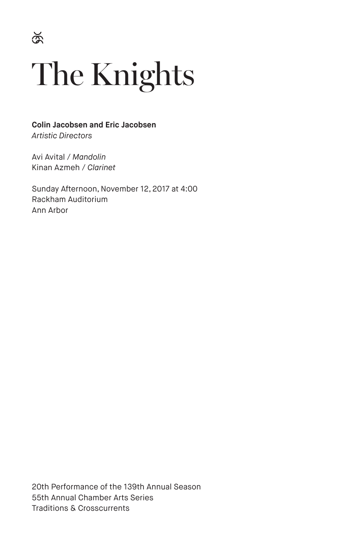$\Im$ 

# The Knights

**Colin Jacobsen and Eric Jacobsen** *Artistic Directors*

Avi Avital / *Mandolin* Kinan Azmeh / *Clarinet*

Sunday Afternoon, November 12, 2017 at 4:00 Rackham Auditorium Ann Arbor

20th Performance of the 139th Annual Season 55th Annual Chamber Arts Series Traditions & Crosscurrents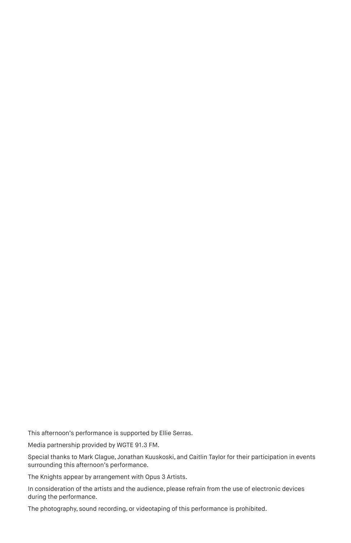This afternoon's performance is supported by Ellie Serras.

Media partnership provided by WGTE 91.3 FM.

Special thanks to Mark Clague, Jonathan Kuuskoski, and Caitlin Taylor for their participation in events surrounding this afternoon's performance.

The Knights appear by arrangement with Opus 3 Artists.

In consideration of the artists and the audience, please refrain from the use of electronic devices during the performance.

The photography, sound recording, or videotaping of this performance is prohibited.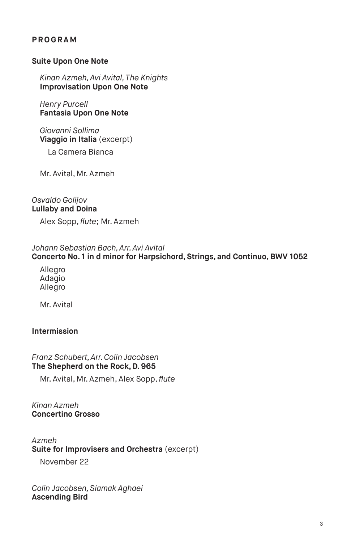# **PROGRAM**

#### **Suite Upon One Note**

*Kinan Azmeh, Avi Avital, The Knights*  **Improvisation Upon One Note**

*Henry Purcell* **Fantasia Upon One Note**

*Giovanni Sollima* **Viaggio in Italia** (excerpt)

La Camera Bianca

Mr. Avital, Mr. Azmeh

*Osvaldo Golijov*  **Lullaby and Doina** 

Alex Sopp, *flute*; Mr. Azmeh

#### *Johann Sebastian Bach, Arr. Avi Avital*

**Concerto No. 1 in d minor for Harpsichord, Strings, and Continuo, BWV 1052**

Allegro Adagio Allegro

Mr. Avital

#### **Intermission**

#### *Franz Schubert, Arr. Colin Jacobsen* **The Shepherd on the Rock, D. 965**

Mr. Avital, Mr. Azmeh, Alex Sopp, *flute*

*Kinan Azmeh* **Concertino Grosso**

*Azmeh* **Suite for Improvisers and Orchestra** (excerpt)

November 22

*Colin Jacobsen, Siamak Aghaei* **Ascending Bird**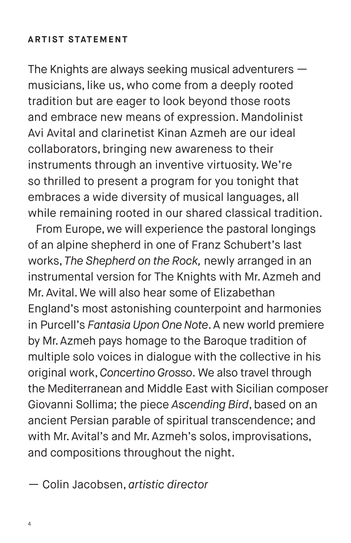# **ARTIST STATEMENT**

The Knights are always seeking musical adventurers musicians, like us, who come from a deeply rooted tradition but are eager to look beyond those roots and embrace new means of expression. Mandolinist Avi Avital and clarinetist Kinan Azmeh are our ideal collaborators, bringing new awareness to their instruments through an inventive virtuosity. We're so thrilled to present a program for you tonight that embraces a wide diversity of musical languages, all while remaining rooted in our shared classical tradition.

From Europe, we will experience the pastoral longings of an alpine shepherd in one of Franz Schubert's last works, *The Shepherd on the Rock,* newly arranged in an instrumental version for The Knights with Mr. Azmeh and Mr. Avital. We will also hear some of Elizabethan England's most astonishing counterpoint and harmonies in Purcell's *Fantasia Upon One Note*. A new world premiere by Mr. Azmeh pays homage to the Baroque tradition of multiple solo voices in dialogue with the collective in his original work, *Concertino Grosso*. We also travel through the Mediterranean and Middle East with Sicilian composer Giovanni Sollima; the piece *Ascending Bird*, based on an ancient Persian parable of spiritual transcendence; and with Mr. Avital's and Mr. Azmeh's solos, improvisations, and compositions throughout the night.

— Colin Jacobsen, *artistic director*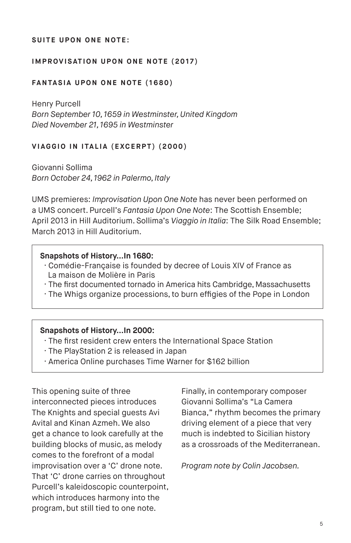#### **SUITE UPON ONE NOTE:**

#### **IMPROVISATION UPON ONE NOTE (2017)**

#### **FANTASIA UPON ONE NOTE (1680)**

Henry Purcell *Born September 10, 1659 in Westminster, United Kingdom Died November 21, 1695 in Westminster*

#### **VIAGGIO IN ITALIA (EXCERPT) (2000)**

Giovanni Sollima *Born October 24, 1962 in Palermo, Italy*

UMS premieres: *Improvisation Upon One Note* has never been performed on a UMS concert. Purcell's *Fantasia Upon One Note*: The Scottish Ensemble; April 2013 in Hill Auditorium. Sollima's *Viaggio in Italia*: The Silk Road Ensemble; March 2013 in Hill Auditorium.

#### **Snapshots of History…In 1680:**

- · Comédie-Française is founded by decree of Louis XIV of France as La maison de Molière in Paris
- · The first documented tornado in America hits Cambridge, Massachusetts
- · The Whigs organize processions, to burn effigies of the Pope in London

#### **Snapshots of History…In 2000:**

- · The first resident crew enters the International Space Station
- · The PlayStation 2 is released in Japan
- · America Online purchases Time Warner for \$162 billion

This opening suite of three interconnected pieces introduces The Knights and special guests Avi Avital and Kinan Azmeh. We also get a chance to look carefully at the building blocks of music, as melody comes to the forefront of a modal improvisation over a 'C' drone note. That 'C' drone carries on throughout Purcell's kaleidoscopic counterpoint, which introduces harmony into the program, but still tied to one note.

Finally, in contemporary composer Giovanni Sollima's "La Camera Bianca," rhythm becomes the primary driving element of a piece that very much is indebted to Sicilian history as a crossroads of the Mediterranean.

*Program note by Colin Jacobsen.*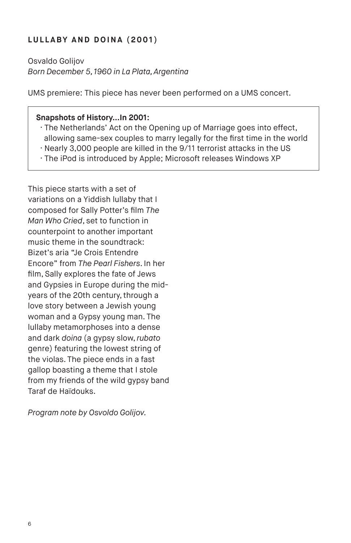# **LULLABY AND DOINA (2001)**

Osvaldo Golijov *Born December 5, 1960 in La Plata, Argentina*

UMS premiere: This piece has never been performed on a UMS concert.

#### **Snapshots of History…In 2001:**

- · The Netherlands' Act on the Opening up of Marriage goes into effect, allowing same-sex couples to marry legally for the first time in the world
- · Nearly 3,000 people are killed in the 9/11 terrorist attacks in the US
- · The iPod is introduced by Apple; Microsoft releases Windows XP

This piece starts with a set of variations on a Yiddish lullaby that I composed for Sally Potter's film *The Man Who Cried*, set to function in counterpoint to another important music theme in the soundtrack: Bizet's aria "Je Crois Entendre Encore" from *The Pearl Fishers*. In her film, Sally explores the fate of Jews and Gypsies in Europe during the midyears of the 20th century, through a love story between a Jewish young woman and a Gypsy young man. The lullaby metamorphoses into a dense and dark *doina* (a gypsy slow, *rubato* genre) featuring the lowest string of the violas. The piece ends in a fast gallop boasting a theme that I stole from my friends of the wild gypsy band Taraf de Haïdouks.

*Program note by Osvoldo Golijov.*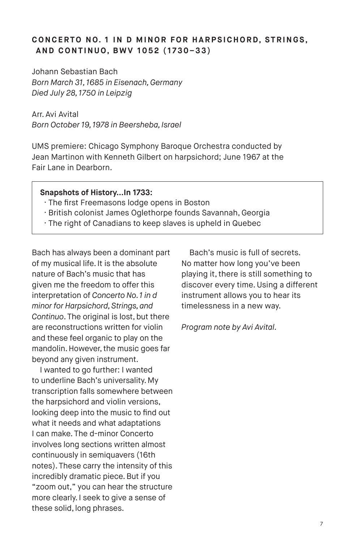# **CONCERTO NO. 1 IN D MINOR FOR HARPSICHORD, STRINGS, AND CONTINUO, BWV 1052 (1730–33)**

Johann Sebastian Bach *Born March 31, 1685 in Eisenach, Germany Died July 28, 1750 in Leipzig*

Arr. Avi Avital *Born October 19, 1978 in Beersheba, Israel*

UMS premiere: Chicago Symphony Baroque Orchestra conducted by Jean Martinon with Kenneth Gilbert on harpsichord; June 1967 at the Fair Lane in Dearborn.

#### **Snapshots of History…In 1733:**

- · The first Freemasons lodge opens in Boston
- · British colonist James Oglethorpe founds Savannah, Georgia
- · The right of Canadians to keep slaves is upheld in Quebec

Bach has always been a dominant part of my musical life. It is the absolute nature of Bach's music that has given me the freedom to offer this interpretation of *Concerto No. 1 in d minor for Harpsichord, Strings, and Continuo*. The original is lost, but there are reconstructions written for violin and these feel organic to play on the mandolin. However, the music goes far beyond any given instrument.

I wanted to go further: I wanted to underline Bach's universality. My transcription falls somewhere between the harpsichord and violin versions, looking deep into the music to find out what it needs and what adaptations I can make. The d-minor Concerto involves long sections written almost continuously in semiquavers (16th notes). These carry the intensity of this incredibly dramatic piece. But if you "zoom out," you can hear the structure more clearly. I seek to give a sense of these solid, long phrases.

Bach's music is full of secrets. No matter how long you've been playing it, there is still something to discover every time. Using a different instrument allows you to hear its timelessness in a new way.

*Program note by Avi Avital.*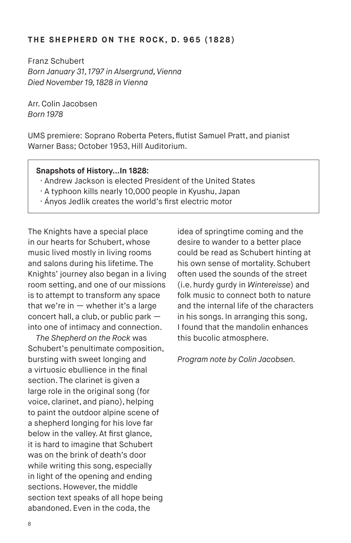#### **THE SHEPHERD ON THE ROCK, D. 965 (1828)**

Franz Schubert *Born January 31, 1797 in Alsergrund, Vienna Died November 19, 1828 in Vienna*

Arr. Colin Jacobsen *Born 1978* 

UMS premiere: Soprano Roberta Peters, flutist Samuel Pratt, and pianist Warner Bass; October 1953, Hill Auditorium.

#### **Snapshots of History…In 1828:**

- · Andrew Jackson is elected President of the United States
- · A typhoon kills nearly 10,000 people in Kyushu, Japan
- · Ányos Jedlik creates the world's first electric motor

The Knights have a special place in our hearts for Schubert, whose music lived mostly in living rooms and salons during his lifetime. The Knights' journey also began in a living room setting, and one of our missions is to attempt to transform any space that we're in  $-$  whether it's a large concert hall, a club, or public park into one of intimacy and connection.

*The Shepherd on the Rock* was Schubert's penultimate composition, bursting with sweet longing and a virtuosic ebullience in the final section. The clarinet is given a large role in the original song (for voice, clarinet, and piano), helping to paint the outdoor alpine scene of a shepherd longing for his love far below in the valley. At first glance, it is hard to imagine that Schubert was on the brink of death's door while writing this song, especially in light of the opening and ending sections. However, the middle section text speaks of all hope being abandoned. Even in the coda, the

idea of springtime coming and the desire to wander to a better place could be read as Schubert hinting at his own sense of mortality. Schubert often used the sounds of the street (i.e. hurdy gurdy in *Wintereisse*) and folk music to connect both to nature and the internal life of the characters in his songs. In arranging this song, I found that the mandolin enhances this bucolic atmosphere.

*Program note by Colin Jacobsen.*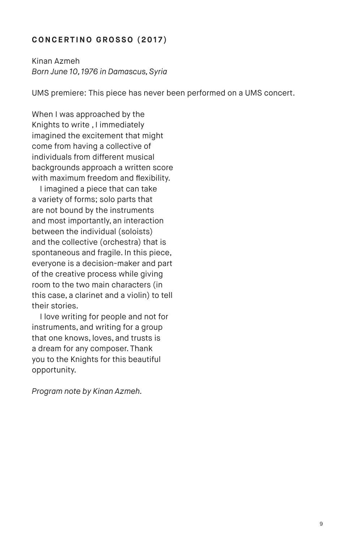# **CONCERTINO GROSSO (2017)**

Kinan Azmeh *Born June 10, 1976 in Damascus, Syria*

UMS premiere: This piece has never been performed on a UMS concert.

When I was approached by the Knights to write , I immediately imagined the excitement that might come from having a collective of individuals from different musical backgrounds approach a written score with maximum freedom and flexibility.

I imagined a piece that can take a variety of forms; solo parts that are not bound by the instruments and most importantly, an interaction between the individual (soloists) and the collective (orchestra) that is spontaneous and fragile. In this piece, everyone is a decision-maker and part of the creative process while giving room to the two main characters (in this case, a clarinet and a violin) to tell their stories.

I love writing for people and not for instruments, and writing for a group that one knows, loves, and trusts is a dream for any composer. Thank you to the Knights for this beautiful opportunity.

*Program note by Kinan Azmeh.*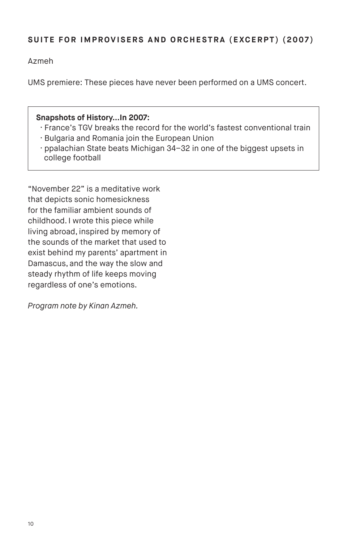# **SUITE FOR IMPROVISERS AND ORCHESTRA (EXCERPT) (2007)**

Azmeh

UMS premiere: These pieces have never been performed on a UMS concert.

#### **Snapshots of History…In 2007:**

- · France's TGV breaks the record for the world's fastest conventional train
- · Bulgaria and Romania join the European Union
- · ppalachian State beats Michigan 34–32 in one of the biggest upsets in college football

"November 22" is a meditative work that depicts sonic homesickness for the familiar ambient sounds of childhood. I wrote this piece while living abroad, inspired by memory of the sounds of the market that used to exist behind my parents' apartment in Damascus, and the way the slow and steady rhythm of life keeps moving regardless of one's emotions.

*Program note by Kinan Azmeh.*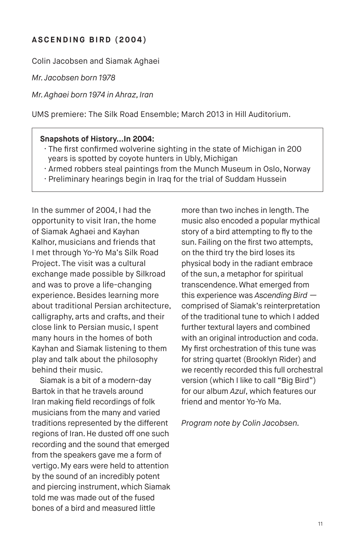# **ASCENDING BIRD (2004)**

Colin Jacobsen and Siamak Aghaei

*Mr. Jacobsen born 1978*

*Mr. Aghaei born 1974 in Ahraz, Iran*

UMS premiere: The Silk Road Ensemble; March 2013 in Hill Auditorium.

#### **Snapshots of History…In 2004:**

- · The first confirmed wolverine sighting in the state of Michigan in 200 years is spotted by coyote hunters in Ubly, Michigan
- · Armed robbers steal paintings from the Munch Museum in Oslo, Norway
- · Preliminary hearings begin in Iraq for the trial of Suddam Hussein

In the summer of 2004, I had the opportunity to visit Iran, the home of Siamak Aghaei and Kayhan Kalhor, musicians and friends that I met through Yo-Yo Ma's Silk Road Project. The visit was a cultural exchange made possible by Silkroad and was to prove a life-changing experience. Besides learning more about traditional Persian architecture, calligraphy, arts and crafts, and their close link to Persian music, I spent many hours in the homes of both Kayhan and Siamak listening to them play and talk about the philosophy behind their music.

Siamak is a bit of a modern-day Bartok in that he travels around Iran making field recordings of folk musicians from the many and varied traditions represented by the different regions of Iran. He dusted off one such recording and the sound that emerged from the speakers gave me a form of vertigo. My ears were held to attention by the sound of an incredibly potent and piercing instrument, which Siamak told me was made out of the fused bones of a bird and measured little

more than two inches in length. The music also encoded a popular mythical story of a bird attempting to fly to the sun. Failing on the first two attempts, on the third try the bird loses its physical body in the radiant embrace of the sun, a metaphor for spiritual transcendence. What emerged from this experience was *Ascending Bird* comprised of Siamak's reinterpretation of the traditional tune to which I added further textural layers and combined with an original introduction and coda. My first orchestration of this tune was for string quartet (Brooklyn Rider) and we recently recorded this full orchestral version (which I like to call "Big Bird") for our album *Azul*, which features our friend and mentor Yo-Yo Ma.

*Program note by Colin Jacobsen.*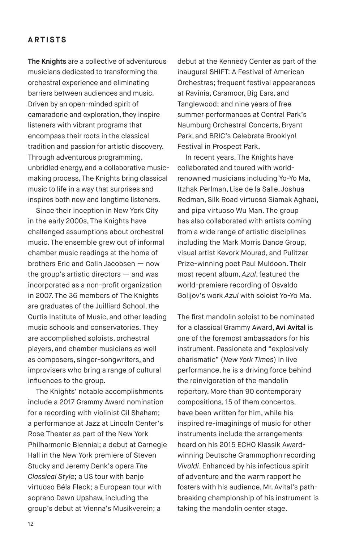## **ARTISTS**

**The Knights** are a collective of adventurous musicians dedicated to transforming the orchestral experience and eliminating barriers between audiences and music. Driven by an open-minded spirit of camaraderie and exploration, they inspire listeners with vibrant programs that encompass their roots in the classical tradition and passion for artistic discovery. Through adventurous programming, unbridled energy, and a collaborative musicmaking process, The Knights bring classical music to life in a way that surprises and inspires both new and longtime listeners.

Since their inception in New York City in the early 2000s, The Knights have challenged assumptions about orchestral music. The ensemble grew out of informal chamber music readings at the home of brothers Eric and Colin Jacobsen — now the group's artistic directors — and was incorporated as a non-profit organization in 2007. The 36 members of The Knights are graduates of the Juilliard School, the Curtis Institute of Music, and other leading music schools and conservatories. They are accomplished soloists, orchestral players, and chamber musicians as well as composers, singer-songwriters, and improvisers who bring a range of cultural influences to the group.

The Knights' notable accomplishments include a 2017 Grammy Award nomination for a recording with violinist Gil Shaham; a performance at Jazz at Lincoln Center's Rose Theater as part of the New York Philharmonic Biennial; a debut at Carnegie Hall in the New York premiere of Steven Stucky and Jeremy Denk's opera *The Classical Style*; a US tour with banjo virtuoso Béla Fleck; a European tour with soprano Dawn Upshaw, including the group's debut at Vienna's Musikverein; a

debut at the Kennedy Center as part of the inaugural SHIFT: A Festival of American Orchestras; frequent festival appearances at Ravinia, Caramoor, Big Ears, and Tanglewood; and nine years of free summer performances at Central Park's Naumburg Orchestral Concerts, Bryant Park, and BRIC's Celebrate Brooklyn! Festival in Prospect Park.

In recent years, The Knights have collaborated and toured with worldrenowned musicians including Yo-Yo Ma, Itzhak Perlman, Lise de la Salle, Joshua Redman, Silk Road virtuoso Siamak Aghaei, and pipa virtuoso Wu Man. The group has also collaborated with artists coming from a wide range of artistic disciplines including the Mark Morris Dance Group, visual artist Kevork Mourad, and Pulitzer Prize-winning poet Paul Muldoon. Their most recent album, *Azul*, featured the world-premiere recording of Osvaldo Golijov's work *Azul* with soloist Yo-Yo Ma.

The first mandolin soloist to be nominated for a classical Grammy Award, **Avi Avital** is one of the foremost ambassadors for his instrument. Passionate and "explosively charismatic" (*New York Times*) in live performance, he is a driving force behind the reinvigoration of the mandolin repertory. More than 90 contemporary compositions, 15 of them concertos, have been written for him, while his inspired re-imaginings of music for other instruments include the arrangements heard on his 2015 ECHO Klassik Awardwinning Deutsche Grammophon recording *Vivaldi*. Enhanced by his infectious spirit of adventure and the warm rapport he fosters with his audience, Mr. Avital's pathbreaking championship of his instrument is taking the mandolin center stage.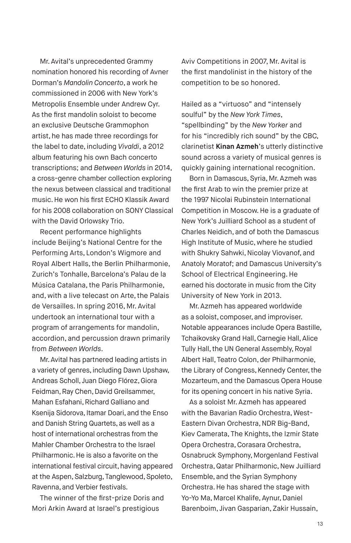Mr. Avital's unprecedented Grammy nomination honored his recording of Avner Dorman's *Mandolin Concerto*, a work he commissioned in 2006 with New York's Metropolis Ensemble under Andrew Cyr. As the first mandolin soloist to become an exclusive Deutsche Grammophon artist, he has made three recordings for the label to date, including *Vivaldi*, a 2012 album featuring his own Bach concerto transcriptions; and *Between Worlds* in 2014, a cross-genre chamber collection exploring the nexus between classical and traditional music. He won his first ECHO Klassik Award for his 2008 collaboration on SONY Classical with the David Orlowsky Trio.

Recent performance highlights include Beijing's National Centre for the Performing Arts, London's Wigmore and Royal Albert Halls, the Berlin Philharmonie, Zurich's Tonhalle, Barcelona's Palau de la Música Catalana, the Paris Philharmonie, and, with a live telecast on Arte, the Palais de Versailles. In spring 2016, Mr. Avital undertook an international tour with a program of arrangements for mandolin, accordion, and percussion drawn primarily from *Between Worlds*.

Mr. Avital has partnered leading artists in a variety of genres, including Dawn Upshaw, Andreas Scholl, Juan Diego Flórez, Giora Feidman, Ray Chen, David Greilsammer, Mahan Esfahani, Richard Galliano and Ksenija Sidorova, Itamar Doari, and the Enso and Danish String Quartets, as well as a host of international orchestras from the Mahler Chamber Orchestra to the Israel Philharmonic. He is also a favorite on the international festival circuit, having appeared at the Aspen, Salzburg, Tanglewood, Spoleto, Ravenna, and Verbier festivals.

The winner of the first-prize Doris and Mori Arkin Award at Israel's prestigious

Aviv Competitions in 2007, Mr. Avital is the first mandolinist in the history of the competition to be so honored.

Hailed as a "virtuoso" and "intensely soulful" by the *New York Times*, "spellbinding" by the *New Yorker* and for his "incredibly rich sound" by the CBC, clarinetist **Kinan Azmeh**'s utterly distinctive sound across a variety of musical genres is quickly gaining international recognition.

Born in Damascus, Syria, Mr. Azmeh was the first Arab to win the premier prize at the 1997 Nicolai Rubinstein International Competition in Moscow. He is a graduate of New York's Juilliard School as a student of Charles Neidich, and of both the Damascus High Institute of Music, where he studied with Shukry Sahwki, Nicolay Viovanof, and Anatoly Moratof; and Damascus University's School of Electrical Engineering. He earned his doctorate in music from the City University of New York in 2013.

Mr. Azmeh has appeared worldwide as a soloist, composer, and improviser. Notable appearances include Opera Bastille, Tchaikovsky Grand Hall, Carnegie Hall, Alice Tully Hall, the UN General Assembly, Royal Albert Hall, Teatro Colon, der Philharmonie, the Library of Congress, Kennedy Center, the Mozarteum, and the Damascus Opera House for its opening concert in his native Syria.

As a soloist Mr. Azmeh has appeared with the Bavarian Radio Orchestra, West-Eastern Divan Orchestra, NDR Big-Band, Kiev Camerata, The Knights, the Izmir State Opera Orchestra, Corasara Orchestra, Osnabruck Symphony, Morgenland Festival Orchestra, Qatar Philharmonic, New Juilliard Ensemble, and the Syrian Symphony Orchestra. He has shared the stage with Yo-Yo Ma, Marcel Khalife, Aynur, Daniel Barenboim, Jivan Gasparian, Zakir Hussain,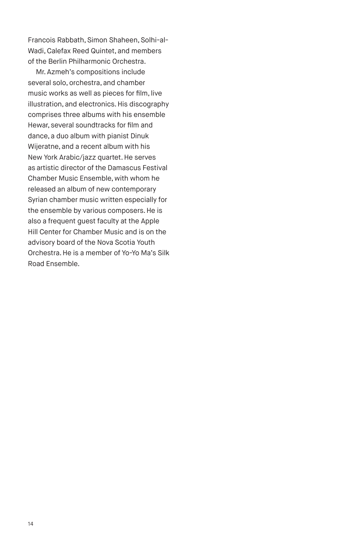Francois Rabbath, Simon Shaheen, Solhi-al-Wadi, Calefax Reed Quintet, and members of the Berlin Philharmonic Orchestra.

Mr. Azmeh's compositions include several solo, orchestra, and chamber music works as well as pieces for film, live illustration, and electronics. His discography comprises three albums with his ensemble Hewar, several soundtracks for film and dance, a duo album with pianist Dinuk Wijeratne, and a recent album with his New York Arabic/jazz quartet. He serves as artistic director of the Damascus Festival Chamber Music Ensemble, with whom he released an album of new contemporary Syrian chamber music written especially for the ensemble by various composers. He is also a frequent guest faculty at the Apple Hill Center for Chamber Music and is on the advisory board of the Nova Scotia Youth Orchestra. He is a member of Yo-Yo Ma's Silk Road Ensemble.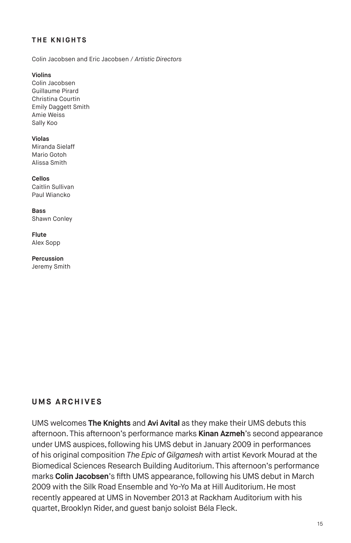#### **THE KNIGHTS**

Colin Jacobsen and Eric Jacobsen / *Artistic Directors*

**Violins**

Colin Jacobsen Guillaume Pirard Christina Courtin Emily Daggett Smith Amie Weiss Sally Koo

**Violas**

Miranda Sielaff Mario Gotoh Alissa Smith

**Cellos** Caitlin Sullivan Paul Wiancko

**Bass** Shawn Conley

**Flute** Alex Sopp

**Percussion** Jeremy Smith

# **UMS ARCHIVES**

UMS welcomes **The Knights** and **Avi Avital** as they make their UMS debuts this afternoon. This afternoon's performance marks **Kinan Azmeh**'s second appearance under UMS auspices, following his UMS debut in January 2009 in performances of his original composition *The Epic of Gilgamesh* with artist Kevork Mourad at the Biomedical Sciences Research Building Auditorium. This afternoon's performance marks **Colin Jacobsen**'s fifth UMS appearance, following his UMS debut in March 2009 with the Silk Road Ensemble and Yo-Yo Ma at Hill Auditorium. He most recently appeared at UMS in November 2013 at Rackham Auditorium with his quartet, Brooklyn Rider, and guest banjo soloist Béla Fleck.